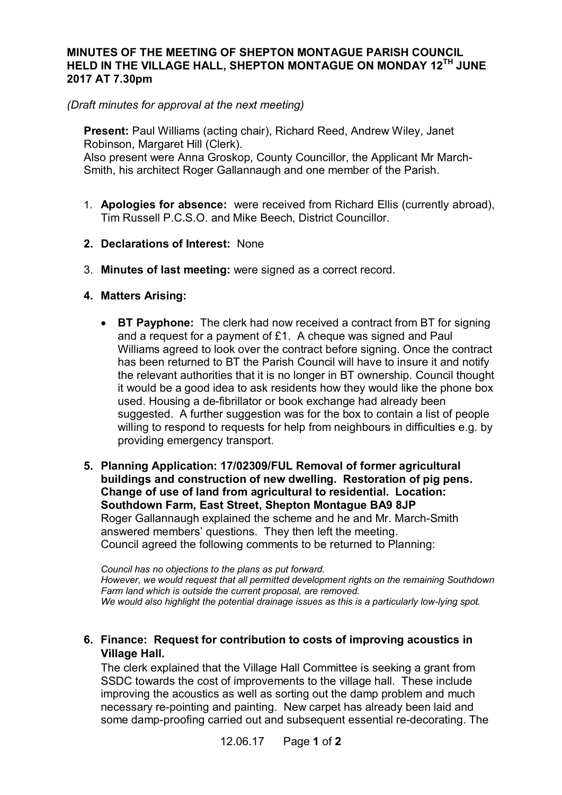## **MINUTES OF THE MEETING OF SHEPTON MONTAGUE PARISH COUNCIL HELD IN THE VILLAGE HALL, SHEPTON MONTAGUE ON MONDAY 12TH JUNE 2017 AT 7.30pm**

*(Draft minutes for approval at the next meeting)*

**Present:** Paul Williams (acting chair), Richard Reed, Andrew Wiley, Janet Robinson, Margaret Hill (Clerk). Also present were Anna Groskop, County Councillor, the Applicant Mr March-Smith, his architect Roger Gallannaugh and one member of the Parish.

- 1. **Apologies for absence:** were received from Richard Ellis (currently abroad), Tim Russell P.C.S.O. and Mike Beech, District Councillor.
- **2. Declarations of Interest:** None
- 3. **Minutes of last meeting:** were signed as a correct record.
- **4. Matters Arising:**
	- · **BT Payphone:** The clerk had now received a contract from BT for signing and a request for a payment of £1. A cheque was signed and Paul Williams agreed to look over the contract before signing. Once the contract has been returned to BT the Parish Council will have to insure it and notify the relevant authorities that it is no longer in BT ownership. Council thought it would be a good idea to ask residents how they would like the phone box used. Housing a de-fibrillator or book exchange had already been suggested. A further suggestion was for the box to contain a list of people willing to respond to requests for help from neighbours in difficulties e.g. by providing emergency transport.
- **5. Planning Application: 17/02309/FUL Removal of former agricultural buildings and construction of new dwelling. Restoration of pig pens. Change of use of land from agricultural to residential. Location: Southdown Farm, East Street, Shepton Montague BA9 8JP** Roger Gallannaugh explained the scheme and he and Mr. March-Smith answered members' questions. They then left the meeting. Council agreed the following comments to be returned to Planning:

*Council has no objections to the plans as put forward. However, we would request that all permitted development rights on the remaining Southdown Farm land which is outside the current proposal, are removed. We would also highlight the potential drainage issues as this is a particularly low-lying spot.*

## **6. Finance: Request for contribution to costs of improving acoustics in Village Hall.**

The clerk explained that the Village Hall Committee is seeking a grant from SSDC towards the cost of improvements to the village hall. These include improving the acoustics as well as sorting out the damp problem and much necessary re-pointing and painting. New carpet has already been laid and some damp-proofing carried out and subsequent essential re-decorating. The